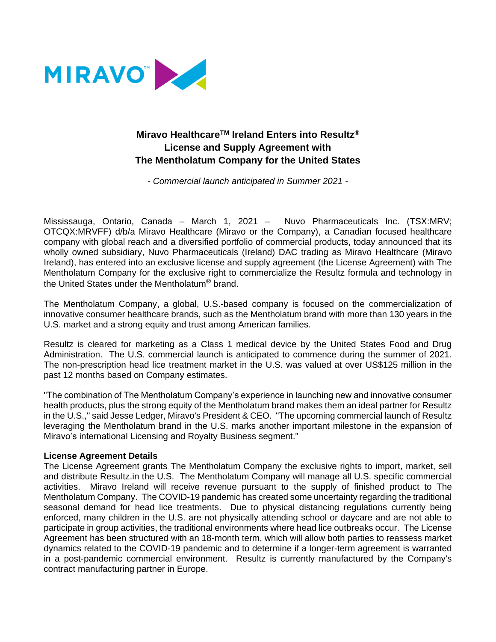

# **Miravo HealthcareTM Ireland Enters into Resultz® License and Supply Agreement with The Mentholatum Company for the United States**

*- Commercial launch anticipated in Summer 2021 -*

Mississauga, Ontario, Canada – March 1, 2021 – Nuvo Pharmaceuticals Inc. (TSX:MRV; OTCQX:MRVFF) d/b/a Miravo Healthcare (Miravo or the Company), a Canadian focused healthcare company with global reach and a diversified portfolio of commercial products, today announced that its wholly owned subsidiary, Nuvo Pharmaceuticals (Ireland) DAC trading as Miravo Healthcare (Miravo Ireland), has entered into an exclusive license and supply agreement (the License Agreement) with The Mentholatum Company for the exclusive right to commercialize the Resultz formula and technology in the United States under the Mentholatum**®** brand.

The Mentholatum Company, a global, U.S.-based company is focused on the commercialization of innovative consumer healthcare brands, such as the Mentholatum brand with more than 130 years in the U.S. market and a strong equity and trust among American families.

Resultz is cleared for marketing as a Class 1 medical device by the United States Food and Drug Administration. The U.S. commercial launch is anticipated to commence during the summer of 2021. The non-prescription head lice treatment market in the U.S. was valued at over US\$125 million in the past 12 months based on Company estimates.

"The combination of The Mentholatum Company's experience in launching new and innovative consumer health products, plus the strong equity of the Mentholatum brand makes them an ideal partner for Resultz in the U.S.," said Jesse Ledger, Miravo's President & CEO. "The upcoming commercial launch of Resultz leveraging the Mentholatum brand in the U.S. marks another important milestone in the expansion of Miravo's international Licensing and Royalty Business segment."

#### **License Agreement Details**

The License Agreement grants The Mentholatum Company the exclusive rights to import, market, sell and distribute Resultz.in the U.S. The Mentholatum Company will manage all U.S. specific commercial activities. Miravo Ireland will receive revenue pursuant to the supply of finished product to The Mentholatum Company. The COVID-19 pandemic has created some uncertainty regarding the traditional seasonal demand for head lice treatments. Due to physical distancing regulations currently being enforced, many children in the U.S. are not physically attending school or daycare and are not able to participate in group activities, the traditional environments where head lice outbreaks occur. The License Agreement has been structured with an 18-month term, which will allow both parties to reassess market dynamics related to the COVID-19 pandemic and to determine if a longer-term agreement is warranted in a post-pandemic commercial environment. Resultz is currently manufactured by the Company's contract manufacturing partner in Europe.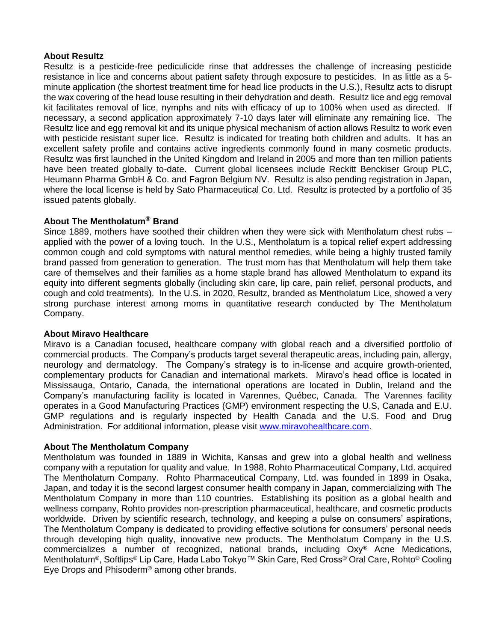# **About Resultz**

Resultz is a pesticide-free pediculicide rinse that addresses the challenge of increasing pesticide resistance in lice and concerns about patient safety through exposure to pesticides. In as little as a 5 minute application (the shortest treatment time for head lice products in the U.S.), Resultz acts to disrupt the wax covering of the head louse resulting in their dehydration and death. Resultz lice and egg removal kit facilitates removal of lice, nymphs and nits with efficacy of up to 100% when used as directed. If necessary, a second application approximately 7-10 days later will eliminate any remaining lice. The Resultz lice and egg removal kit and its unique physical mechanism of action allows Resultz to work even with pesticide resistant super lice. Resultz is indicated for treating both children and adults. It has an excellent safety profile and contains active ingredients commonly found in many cosmetic products. Resultz was first launched in the United Kingdom and Ireland in 2005 and more than ten million patients have been treated globally to-date. Current global licensees include Reckitt Benckiser Group PLC, Heumann Pharma GmbH & Co. and Fagron Belgium NV. Resultz is also pending registration in Japan, where the local license is held by Sato Pharmaceutical Co. Ltd. Resultz is protected by a portfolio of 35 issued patents globally.

# **About The Mentholatum® Brand**

Since 1889, mothers have soothed their children when they were sick with Mentholatum chest rubs – applied with the power of a loving touch. In the U.S., Mentholatum is a topical relief expert addressing common cough and cold symptoms with natural menthol remedies, while being a highly trusted family brand passed from generation to generation. The trust mom has that Mentholatum will help them take care of themselves and their families as a home staple brand has allowed Mentholatum to expand its equity into different segments globally (including skin care, lip care, pain relief, personal products, and cough and cold treatments). In the U.S. in 2020, Resultz, branded as Mentholatum Lice, showed a very strong purchase interest among moms in quantitative research conducted by The Mentholatum Company.

# **About Miravo Healthcare**

Miravo is a Canadian focused, healthcare company with global reach and a diversified portfolio of commercial products. The Company's products target several therapeutic areas, including pain, allergy, neurology and dermatology. The Company's strategy is to in-license and acquire growth-oriented, complementary products for Canadian and international markets. Miravo's head office is located in Mississauga, Ontario, Canada, the international operations are located in Dublin, Ireland and the Company's manufacturing facility is located in Varennes, Québec, Canada. The Varennes facility operates in a Good Manufacturing Practices (GMP) environment respecting the U.S, Canada and E.U. GMP regulations and is regularly inspected by Health Canada and the U.S. Food and Drug Administration. For additional information, please visit [www.miravohealthcare.com.](http://www.miravohealthcare.com/)

# **About The Mentholatum Company**

Mentholatum was founded in 1889 in Wichita, Kansas and grew into a global health and wellness company with a reputation for quality and value. In 1988, Rohto Pharmaceutical Company, Ltd. acquired The Mentholatum Company. Rohto Pharmaceutical Company, Ltd. was founded in 1899 in Osaka, Japan, and today it is the second largest consumer health company in Japan, commercializing with The Mentholatum Company in more than 110 countries. Establishing its position as a global health and wellness company, Rohto provides non-prescription pharmaceutical, healthcare, and cosmetic products worldwide. Driven by scientific research, technology, and keeping a pulse on consumers' aspirations, The Mentholatum Company is dedicated to providing effective solutions for consumers' personal needs through developing high quality, innovative new products. The Mentholatum Company in the U.S. commercializes a number of recognized, national brands, including Oxy® Acne Medications, Mentholatum®, Softlips® Lip Care, Hada Labo Tokyo™ Skin Care, Red Cross® Oral Care, Rohto® Cooling Eye Drops and Phisoderm® among other brands.